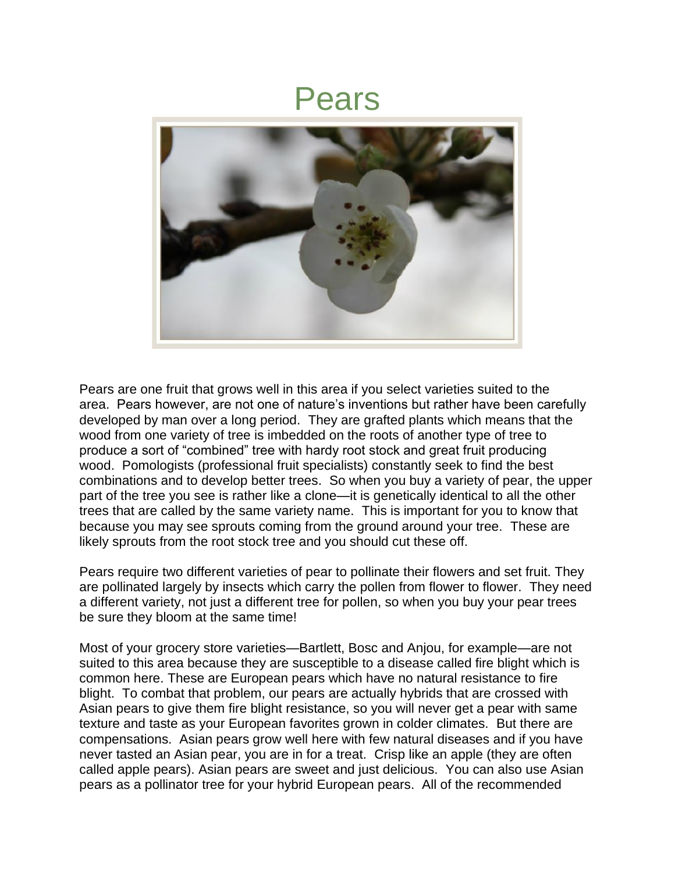## Pears



Pears are one fruit that grows well in this area if you select varieties suited to the area. Pears however, are not one of nature's inventions but rather have been carefully developed by man over a long period. They are grafted plants which means that the wood from one variety of tree is imbedded on the roots of another type of tree to produce a sort of "combined" tree with hardy root stock and great fruit producing wood. Pomologists (professional fruit specialists) constantly seek to find the best combinations and to develop better trees. So when you buy a variety of pear, the upper part of the tree you see is rather like a clone—it is genetically identical to all the other trees that are called by the same variety name. This is important for you to know that because you may see sprouts coming from the ground around your tree. These are likely sprouts from the root stock tree and you should cut these off.

Pears require two different varieties of pear to pollinate their flowers and set fruit. They are pollinated largely by insects which carry the pollen from flower to flower. They need a different variety, not just a different tree for pollen, so when you buy your pear trees be sure they bloom at the same time!

Most of your grocery store varieties—Bartlett, Bosc and Anjou, for example—are not suited to this area because they are susceptible to a disease called fire blight which is common here. These are European pears which have no natural resistance to fire blight. To combat that problem, our pears are actually hybrids that are crossed with Asian pears to give them fire blight resistance, so you will never get a pear with same texture and taste as your European favorites grown in colder climates. But there are compensations. Asian pears grow well here with few natural diseases and if you have never tasted an Asian pear, you are in for a treat. Crisp like an apple (they are often called apple pears). Asian pears are sweet and just delicious. You can also use Asian pears as a pollinator tree for your hybrid European pears. All of the recommended